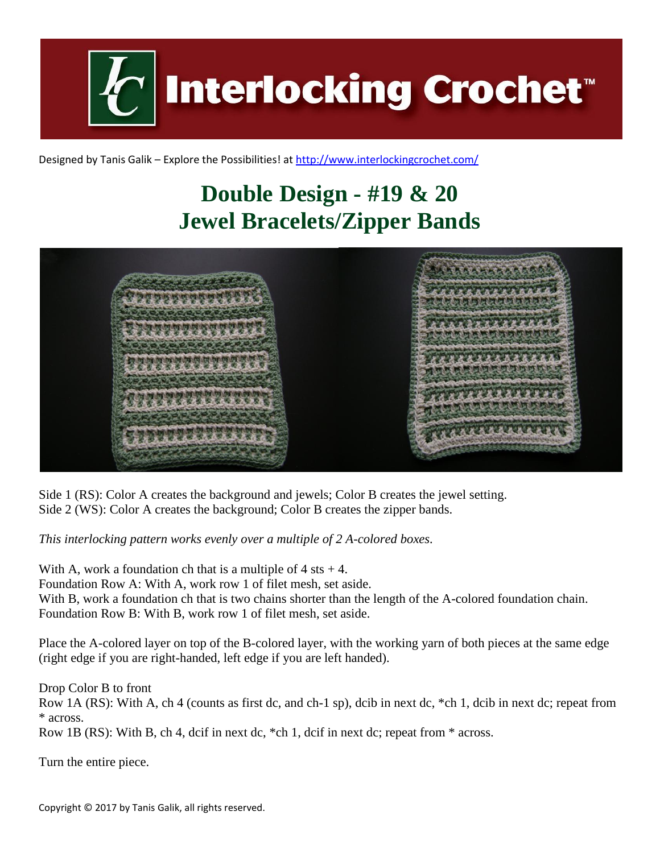

Designed by Tanis Galik – Explore the Possibilities! a[t http://www.interlockingcrochet.com/](http://www.interlockingcrochet.com/)

## **Double Design - #19 & 20 Jewel Bracelets/Zipper Bands**



Side 1 (RS): Color A creates the background and jewels; Color B creates the jewel setting. Side 2 (WS): Color A creates the background; Color B creates the zipper bands.

*This interlocking pattern works evenly over a multiple of 2 A-colored boxes.*

With A, work a foundation ch that is a multiple of  $4$  sts  $+4$ .

Foundation Row A: With A, work row 1 of filet mesh, set aside.

With B, work a foundation ch that is two chains shorter than the length of the A-colored foundation chain. Foundation Row B: With B, work row 1 of filet mesh, set aside.

Place the A-colored layer on top of the B-colored layer, with the working yarn of both pieces at the same edge (right edge if you are right-handed, left edge if you are left handed).

Drop Color B to front

Row 1A (RS): With A, ch 4 (counts as first dc, and ch-1 sp), dcib in next dc, \*ch 1, dcib in next dc; repeat from \* across.

Row 1B (RS): With B, ch 4, dcif in next dc, \*ch 1, dcif in next dc; repeat from \* across.

Turn the entire piece.

Copyright © 2017 by Tanis Galik, all rights reserved.